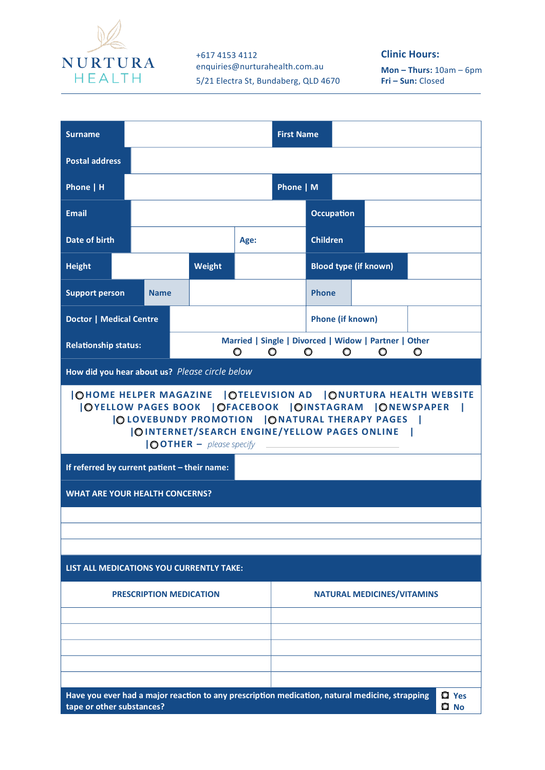

+617 4153 4112 enquiries@nurturahealth.com.au 5/21 Electra St, Bundaberg, QLD 4670

## **Clinic Hours:**

**Mon – Thurs:** 10am – 6pm **Fri – Sun:** Closed

| <b>Surname</b>                                                                                                                                                                                                                                                                                                                   |             |        |  |                                   | <b>First Name</b>       |                              |  |  |  |  |  |
|----------------------------------------------------------------------------------------------------------------------------------------------------------------------------------------------------------------------------------------------------------------------------------------------------------------------------------|-------------|--------|--|-----------------------------------|-------------------------|------------------------------|--|--|--|--|--|
| <b>Postal address</b>                                                                                                                                                                                                                                                                                                            |             |        |  |                                   |                         |                              |  |  |  |  |  |
| Phone   H                                                                                                                                                                                                                                                                                                                        |             |        |  |                                   | Phone   M               |                              |  |  |  |  |  |
| <b>Email</b>                                                                                                                                                                                                                                                                                                                     |             |        |  |                                   |                         | <b>Occupation</b>            |  |  |  |  |  |
| Date of birth                                                                                                                                                                                                                                                                                                                    |             |        |  | Age:                              |                         | <b>Children</b>              |  |  |  |  |  |
| <b>Height</b>                                                                                                                                                                                                                                                                                                                    |             | Weight |  |                                   |                         | <b>Blood type (if known)</b> |  |  |  |  |  |
| <b>Support person</b>                                                                                                                                                                                                                                                                                                            | <b>Name</b> |        |  |                                   | <b>Phone</b>            |                              |  |  |  |  |  |
| <b>Doctor   Medical Centre</b>                                                                                                                                                                                                                                                                                                   |             |        |  |                                   | <b>Phone (if known)</b> |                              |  |  |  |  |  |
| Married   Single   Divorced   Widow   Partner   Other<br><b>Relationship status:</b><br>$\circ$<br>$\overline{\phantom{a}}$<br>$\circ$<br>$\circ$<br>$\circ$<br>$\circ$                                                                                                                                                          |             |        |  |                                   |                         |                              |  |  |  |  |  |
| How did you hear about us? Please circle below                                                                                                                                                                                                                                                                                   |             |        |  |                                   |                         |                              |  |  |  |  |  |
| OHOME HELPER MAGAZINE   OTELEVISION AD   ONURTURA HEALTH WEBSITE<br> OYELLOW PAGES BOOK   OFACEBOOK   OINSTAGRAM   ONEWSPAPER<br> OLOVEBUNDY PROMOTION   ONATURAL THERAPY PAGES  <br><b>IOINTERNET/SEARCH ENGINE/YELLOW PAGES ONLINE</b><br>$\text{10}$ OTHER $-$ please specify<br>If referred by current patient - their name: |             |        |  |                                   |                         |                              |  |  |  |  |  |
| <b>WHAT ARE YOUR HEALTH CONCERNS?</b>                                                                                                                                                                                                                                                                                            |             |        |  |                                   |                         |                              |  |  |  |  |  |
|                                                                                                                                                                                                                                                                                                                                  |             |        |  |                                   |                         |                              |  |  |  |  |  |
|                                                                                                                                                                                                                                                                                                                                  |             |        |  |                                   |                         |                              |  |  |  |  |  |
| LIST ALL MEDICATIONS YOU CURRENTLY TAKE:                                                                                                                                                                                                                                                                                         |             |        |  |                                   |                         |                              |  |  |  |  |  |
| <b>PRESCRIPTION MEDICATION</b>                                                                                                                                                                                                                                                                                                   |             |        |  | <b>NATURAL MEDICINES/VITAMINS</b> |                         |                              |  |  |  |  |  |
|                                                                                                                                                                                                                                                                                                                                  |             |        |  |                                   |                         |                              |  |  |  |  |  |
|                                                                                                                                                                                                                                                                                                                                  |             |        |  |                                   |                         |                              |  |  |  |  |  |
|                                                                                                                                                                                                                                                                                                                                  |             |        |  |                                   |                         |                              |  |  |  |  |  |
| Have you ever had a major reaction to any prescription medication, natural medicine, strapping<br><b>Q</b> Yes<br>tape or other substances?<br>O No                                                                                                                                                                              |             |        |  |                                   |                         |                              |  |  |  |  |  |